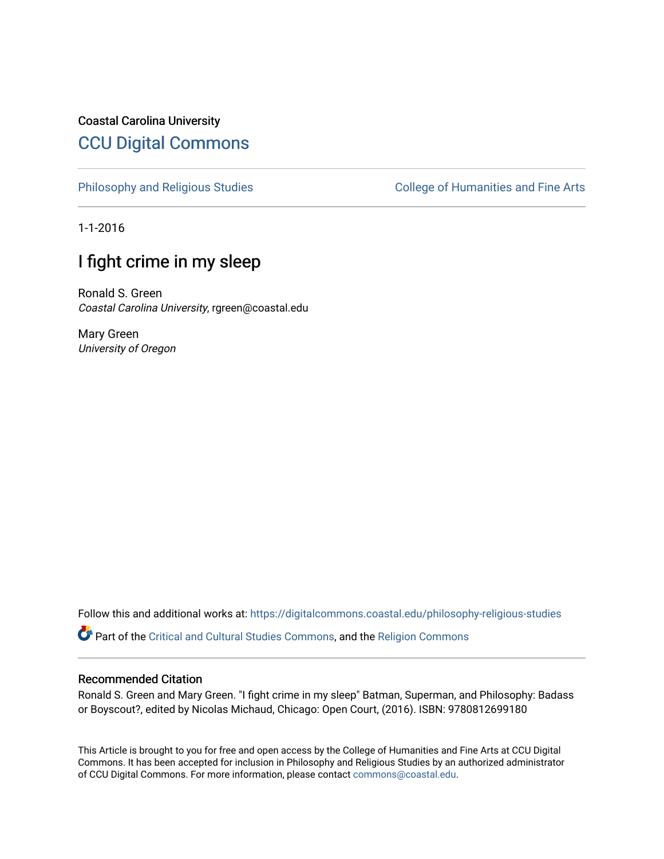## Coastal Carolina University [CCU Digital Commons](https://digitalcommons.coastal.edu/)

[Philosophy and Religious Studies](https://digitalcommons.coastal.edu/philosophy-religious-studies) College of Humanities and Fine Arts

1-1-2016

# I fight crime in my sleep

Ronald S. Green Coastal Carolina University, rgreen@coastal.edu

Mary Green University of Oregon

Follow this and additional works at: [https://digitalcommons.coastal.edu/philosophy-religious-studies](https://digitalcommons.coastal.edu/philosophy-religious-studies?utm_source=digitalcommons.coastal.edu%2Fphilosophy-religious-studies%2F50&utm_medium=PDF&utm_campaign=PDFCoverPages)  Part of the [Critical and Cultural Studies Commons](http://network.bepress.com/hgg/discipline/328?utm_source=digitalcommons.coastal.edu%2Fphilosophy-religious-studies%2F50&utm_medium=PDF&utm_campaign=PDFCoverPages), and the [Religion Commons](http://network.bepress.com/hgg/discipline/538?utm_source=digitalcommons.coastal.edu%2Fphilosophy-religious-studies%2F50&utm_medium=PDF&utm_campaign=PDFCoverPages) 

#### Recommended Citation

Ronald S. Green and Mary Green. "I fight crime in my sleep" Batman, Superman, and Philosophy: Badass or Boyscout?, edited by Nicolas Michaud, Chicago: Open Court, (2016). ISBN: 9780812699180

This Article is brought to you for free and open access by the College of Humanities and Fine Arts at CCU Digital Commons. It has been accepted for inclusion in Philosophy and Religious Studies by an authorized administrator of CCU Digital Commons. For more information, please contact [commons@coastal.edu.](mailto:commons@coastal.edu)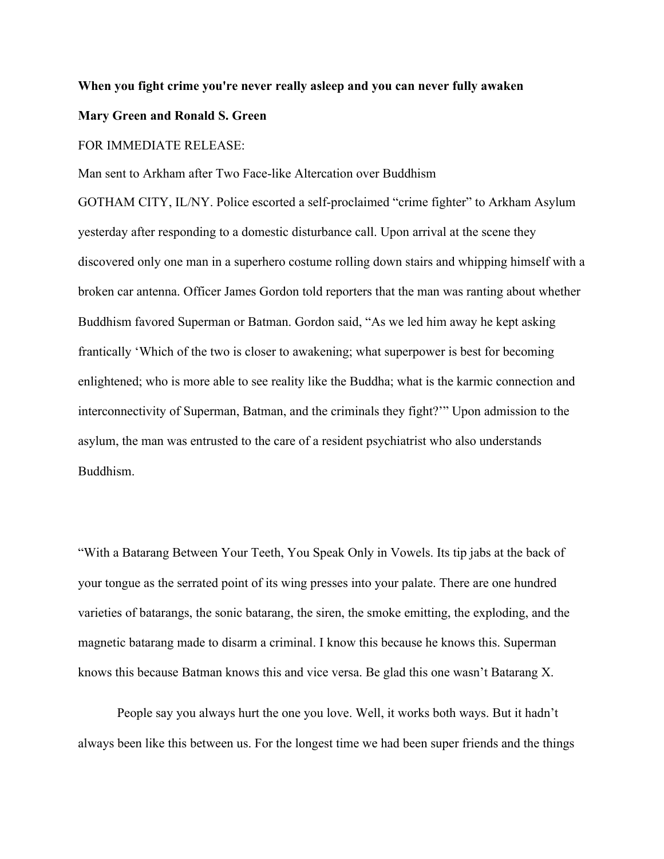#### **When you fight crime you're never really asleep and you can never fully awaken**

#### **Mary Green and Ronald S. Green**

## FOR IMMEDIATE RELEASE:

Man sent to Arkham after Two Face-like Altercation over Buddhism

GOTHAM CITY, IL/NY. Police escorted a self-proclaimed "crime fighter" to Arkham Asylum yesterday after responding to a domestic disturbance call. Upon arrival at the scene they discovered only one man in a superhero costume rolling down stairs and whipping himself with a broken car antenna. Officer James Gordon told reporters that the man was ranting about whether Buddhism favored Superman or Batman. Gordon said, "As we led him away he kept asking frantically 'Which of the two is closer to awakening; what superpower is best for becoming enlightened; who is more able to see reality like the Buddha; what is the karmic connection and interconnectivity of Superman, Batman, and the criminals they fight?'" Upon admission to the asylum, the man was entrusted to the care of a resident psychiatrist who also understands Buddhism.

"With a Batarang Between Your Teeth, You Speak Only in Vowels. Its tip jabs at the back of your tongue as the serrated point of its wing presses into your palate. There are one hundred varieties of batarangs, the sonic batarang, the siren, the smoke emitting, the exploding, and the magnetic batarang made to disarm a criminal. I know this because he knows this. Superman knows this because Batman knows this and vice versa. Be glad this one wasn't Batarang X.

People say you always hurt the one you love. Well, it works both ways. But it hadn't always been like this between us. For the longest time we had been super friends and the things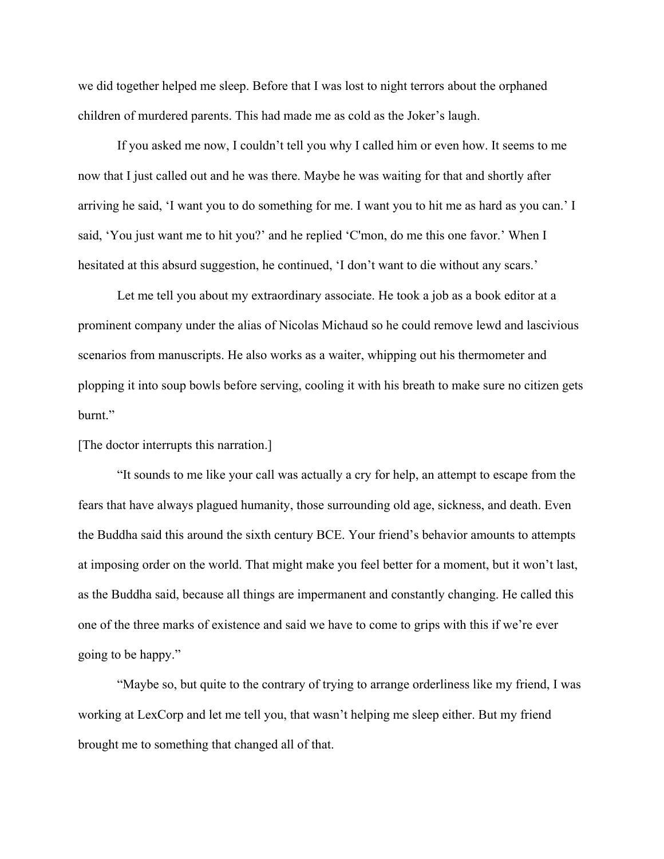we did together helped me sleep. Before that I was lost to night terrors about the orphaned children of murdered parents. This had made me as cold as the Joker's laugh.

If you asked me now, I couldn't tell you why I called him or even how. It seems to me now that I just called out and he was there. Maybe he was waiting for that and shortly after arriving he said, 'I want you to do something for me. I want you to hit me as hard as you can.' I said, 'You just want me to hit you?' and he replied 'C'mon, do me this one favor.' When I hesitated at this absurd suggestion, he continued, 'I don't want to die without any scars.'

Let me tell you about my extraordinary associate. He took a job as a book editor at a prominent company under the alias of Nicolas Michaud so he could remove lewd and lascivious scenarios from manuscripts. He also works as a waiter, whipping out his thermometer and plopping it into soup bowls before serving, cooling it with his breath to make sure no citizen gets burnt."

[The doctor interrupts this narration.]

"It sounds to me like your call was actually a cry for help, an attempt to escape from the fears that have always plagued humanity, those surrounding old age, sickness, and death. Even the Buddha said this around the sixth century BCE. Your friend's behavior amounts to attempts at imposing order on the world. That might make you feel better for a moment, but it won't last, as the Buddha said, because all things are impermanent and constantly changing. He called this one of the three marks of existence and said we have to come to grips with this if we're ever going to be happy."

"Maybe so, but quite to the contrary of trying to arrange orderliness like my friend, I was working at LexCorp and let me tell you, that wasn't helping me sleep either. But my friend brought me to something that changed all of that.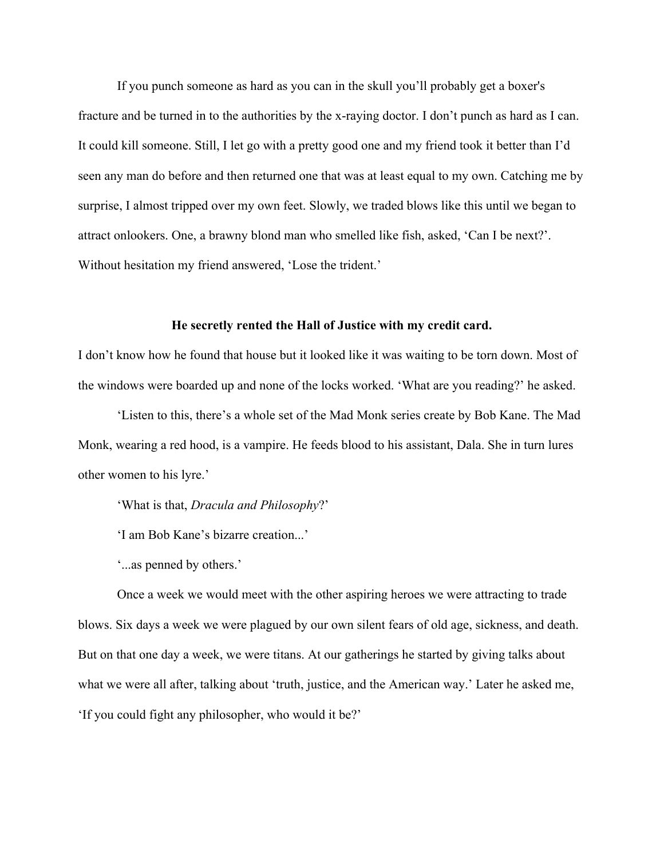If you punch someone as hard as you can in the skull you'll probably get a boxer's fracture and be turned in to the authorities by the x-raying doctor. I don't punch as hard as I can. It could kill someone. Still, I let go with a pretty good one and my friend took it better than I'd seen any man do before and then returned one that was at least equal to my own. Catching me by surprise, I almost tripped over my own feet. Slowly, we traded blows like this until we began to attract onlookers. One, a brawny blond man who smelled like fish, asked, 'Can I be next?'. Without hesitation my friend answered, 'Lose the trident.'

#### **He secretly rented the Hall of Justice with my credit card.**

I don't know how he found that house but it looked like it was waiting to be torn down. Most of the windows were boarded up and none of the locks worked. 'What are you reading?' he asked.

'Listen to this, there's a whole set of the Mad Monk series create by Bob Kane. The Mad Monk, wearing a red hood, is a vampire. He feeds blood to his assistant, Dala. She in turn lures other women to his lyre.'

'What is that, *Dracula and Philosophy*?'

'I am Bob Kane's bizarre creation...'

'...as penned by others.'

Once a week we would meet with the other aspiring heroes we were attracting to trade blows. Six days a week we were plagued by our own silent fears of old age, sickness, and death. But on that one day a week, we were titans. At our gatherings he started by giving talks about what we were all after, talking about 'truth, justice, and the American way.' Later he asked me, 'If you could fight any philosopher, who would it be?'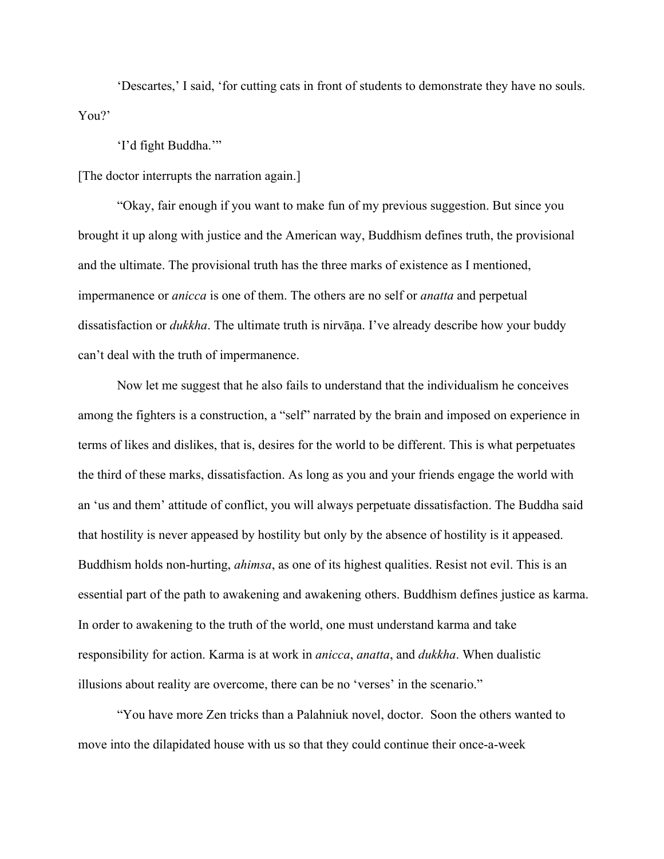'Descartes,' I said, 'for cutting cats in front of students to demonstrate they have no souls. You?'

'I'd fight Buddha.'"

[The doctor interrupts the narration again.]

"Okay, fair enough if you want to make fun of my previous suggestion. But since you brought it up along with justice and the American way, Buddhism defines truth, the provisional and the ultimate. The provisional truth has the three marks of existence as I mentioned, impermanence or *anicca* is one of them. The others are no self or *anatta* and perpetual dissatisfaction or *dukkha*. The ultimate truth is nirvāṇa. I've already describe how your buddy can't deal with the truth of impermanence.

Now let me suggest that he also fails to understand that the individualism he conceives among the fighters is a construction, a "self" narrated by the brain and imposed on experience in terms of likes and dislikes, that is, desires for the world to be different. This is what perpetuates the third of these marks, dissatisfaction. As long as you and your friends engage the world with an 'us and them' attitude of conflict, you will always perpetuate dissatisfaction. The Buddha said that hostility is never appeased by hostility but only by the absence of hostility is it appeased. Buddhism holds non-hurting, *ahimsa*, as one of its highest qualities. Resist not evil. This is an essential part of the path to awakening and awakening others. Buddhism defines justice as karma. In order to awakening to the truth of the world, one must understand karma and take responsibility for action. Karma is at work in *anicca*, *anatta*, and *dukkha*. When dualistic illusions about reality are overcome, there can be no 'verses' in the scenario."

"You have more Zen tricks than a Palahniuk novel, doctor. Soon the others wanted to move into the dilapidated house with us so that they could continue their once-a-week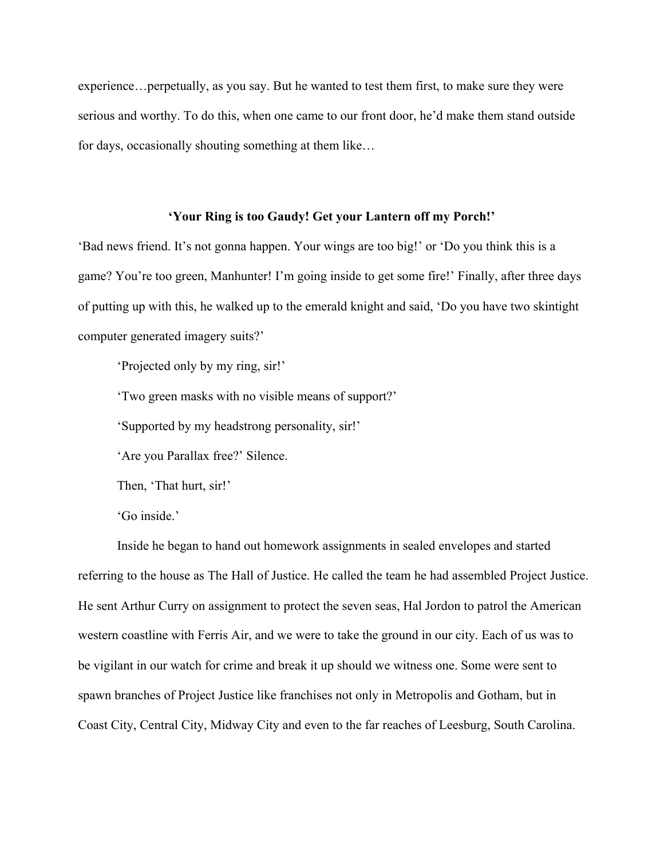experience…perpetually, as you say. But he wanted to test them first, to make sure they were serious and worthy. To do this, when one came to our front door, he'd make them stand outside for days, occasionally shouting something at them like…

## **'Your Ring is too Gaudy! Get your Lantern off my Porch!'**

'Bad news friend. It's not gonna happen. Your wings are too big!' or 'Do you think this is a game? You're too green, Manhunter! I'm going inside to get some fire!' Finally, after three days of putting up with this, he walked up to the emerald knight and said, 'Do you have two skintight computer generated imagery suits?'

'Projected only by my ring, sir!'

'Two green masks with no visible means of support?'

'Supported by my headstrong personality, sir!'

'Are you Parallax free?' Silence.

Then, 'That hurt, sir!'

'Go inside.'

Inside he began to hand out homework assignments in sealed envelopes and started referring to the house as The Hall of Justice. He called the team he had assembled Project Justice. He sent Arthur Curry on assignment to protect the seven seas, Hal Jordon to patrol the American western coastline with Ferris Air, and we were to take the ground in our city. Each of us was to be vigilant in our watch for crime and break it up should we witness one. Some were sent to spawn branches of Project Justice like franchises not only in Metropolis and Gotham, but in Coast City, Central City, Midway City and even to the far reaches of Leesburg, South Carolina.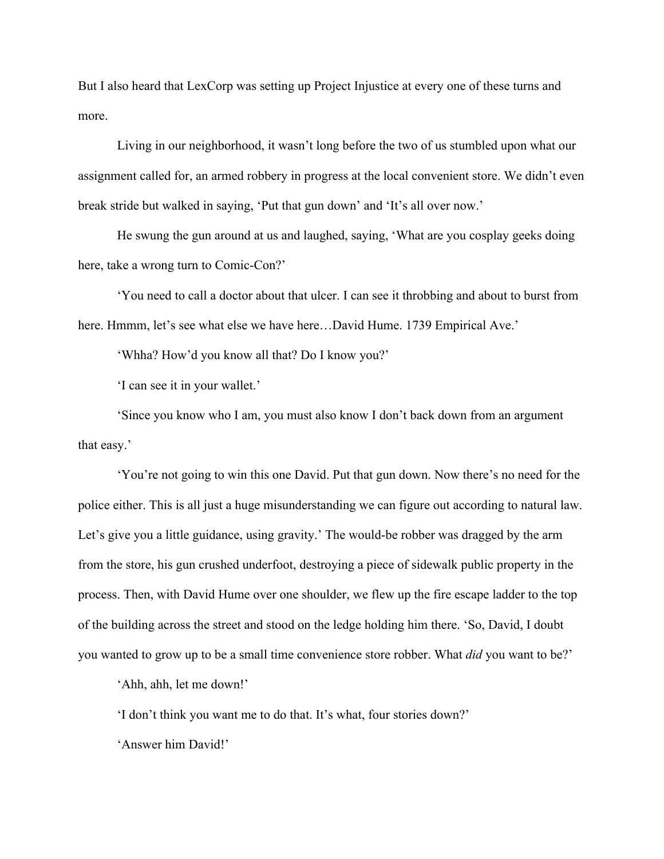But I also heard that LexCorp was setting up Project Injustice at every one of these turns and more.

Living in our neighborhood, it wasn't long before the two of us stumbled upon what our assignment called for, an armed robbery in progress at the local convenient store. We didn't even break stride but walked in saying, 'Put that gun down' and 'It's all over now.'

He swung the gun around at us and laughed, saying, 'What are you cosplay geeks doing here, take a wrong turn to Comic-Con?'

'You need to call a doctor about that ulcer. I can see it throbbing and about to burst from here. Hmmm, let's see what else we have here...David Hume. 1739 Empirical Ave.'

'Whha? How'd you know all that? Do I know you?'

'I can see it in your wallet.'

'Since you know who I am, you must also know I don't back down from an argument that easy.'

'You're not going to win this one David. Put that gun down. Now there's no need for the police either. This is all just a huge misunderstanding we can figure out according to natural law. Let's give you a little guidance, using gravity.' The would-be robber was dragged by the arm from the store, his gun crushed underfoot, destroying a piece of sidewalk public property in the process. Then, with David Hume over one shoulder, we flew up the fire escape ladder to the top of the building across the street and stood on the ledge holding him there. 'So, David, I doubt you wanted to grow up to be a small time convenience store robber. What *did* you want to be?'

'Ahh, ahh, let me down!'

'I don't think you want me to do that. It's what, four stories down?'

'Answer him David!'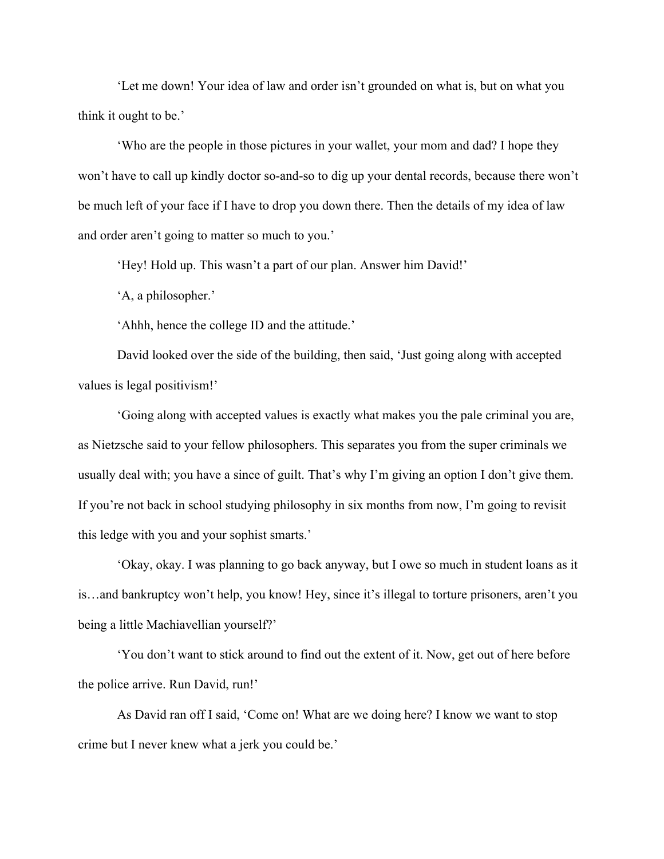'Let me down! Your idea of law and order isn't grounded on what is, but on what you think it ought to be.'

'Who are the people in those pictures in your wallet, your mom and dad? I hope they won't have to call up kindly doctor so-and-so to dig up your dental records, because there won't be much left of your face if I have to drop you down there. Then the details of my idea of law and order aren't going to matter so much to you.'

'Hey! Hold up. This wasn't a part of our plan. Answer him David!'

'A, a philosopher.'

'Ahhh, hence the college ID and the attitude.'

David looked over the side of the building, then said, 'Just going along with accepted values is legal positivism!'

'Going along with accepted values is exactly what makes you the pale criminal you are, as Nietzsche said to your fellow philosophers. This separates you from the super criminals we usually deal with; you have a since of guilt. That's why I'm giving an option I don't give them. If you're not back in school studying philosophy in six months from now, I'm going to revisit this ledge with you and your sophist smarts.'

'Okay, okay. I was planning to go back anyway, but I owe so much in student loans as it is…and bankruptcy won't help, you know! Hey, since it's illegal to torture prisoners, aren't you being a little Machiavellian yourself?'

'You don't want to stick around to find out the extent of it. Now, get out of here before the police arrive. Run David, run!'

As David ran off I said, 'Come on! What are we doing here? I know we want to stop crime but I never knew what a jerk you could be.'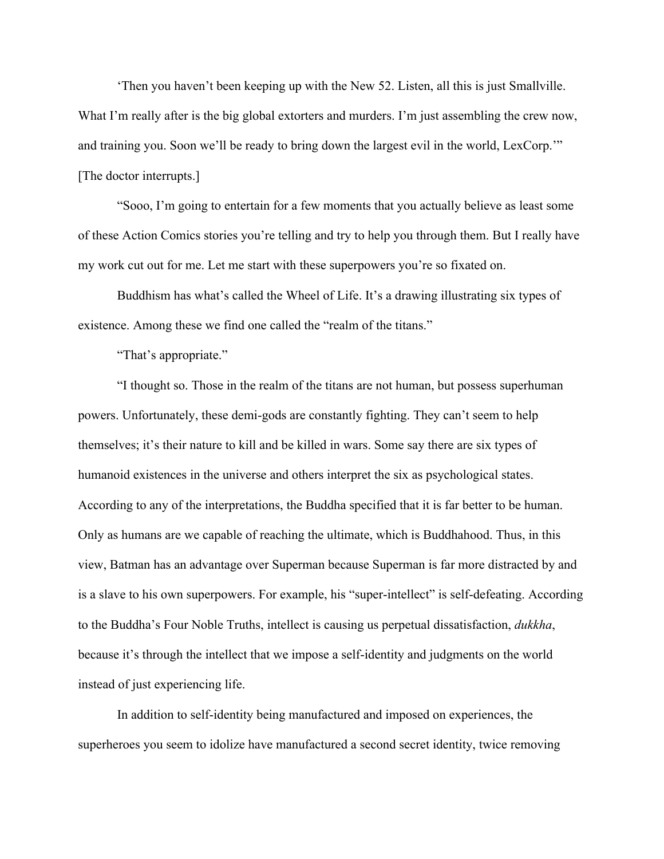'Then you haven't been keeping up with the New 52. Listen, all this is just Smallville. What I'm really after is the big global extorters and murders. I'm just assembling the crew now, and training you. Soon we'll be ready to bring down the largest evil in the world, LexCorp.'" [The doctor interrupts.]

"Sooo, I'm going to entertain for a few moments that you actually believe as least some of these Action Comics stories you're telling and try to help you through them. But I really have my work cut out for me. Let me start with these superpowers you're so fixated on.

Buddhism has what's called the Wheel of Life. It's a drawing illustrating six types of existence. Among these we find one called the "realm of the titans."

"That's appropriate."

"I thought so. Those in the realm of the titans are not human, but possess superhuman powers. Unfortunately, these demi-gods are constantly fighting. They can't seem to help themselves; it's their nature to kill and be killed in wars. Some say there are six types of humanoid existences in the universe and others interpret the six as psychological states. According to any of the interpretations, the Buddha specified that it is far better to be human. Only as humans are we capable of reaching the ultimate, which is Buddhahood. Thus, in this view, Batman has an advantage over Superman because Superman is far more distracted by and is a slave to his own superpowers. For example, his "super-intellect" is self-defeating. According to the Buddha's Four Noble Truths, intellect is causing us perpetual dissatisfaction, *dukkha*, because it's through the intellect that we impose a self-identity and judgments on the world instead of just experiencing life.

In addition to self-identity being manufactured and imposed on experiences, the superheroes you seem to idolize have manufactured a second secret identity, twice removing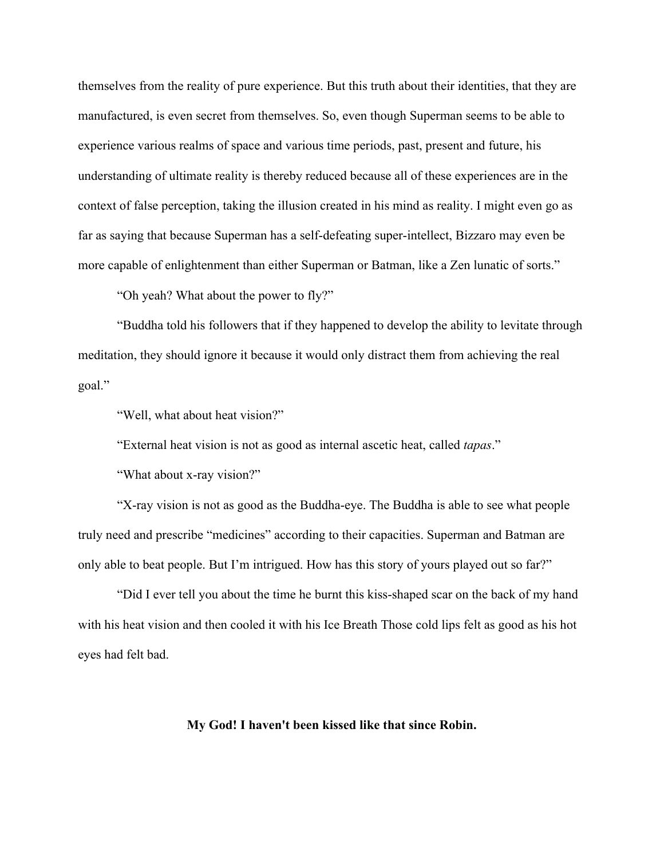themselves from the reality of pure experience. But this truth about their identities, that they are manufactured, is even secret from themselves. So, even though Superman seems to be able to experience various realms of space and various time periods, past, present and future, his understanding of ultimate reality is thereby reduced because all of these experiences are in the context of false perception, taking the illusion created in his mind as reality. I might even go as far as saying that because Superman has a self-defeating super-intellect, Bizzaro may even be more capable of enlightenment than either Superman or Batman, like a Zen lunatic of sorts."

"Oh yeah? What about the power to fly?"

"Buddha told his followers that if they happened to develop the ability to levitate through meditation, they should ignore it because it would only distract them from achieving the real goal."

"Well, what about heat vision?"

"External heat vision is not as good as internal ascetic heat, called *tapas*."

"What about x-ray vision?"

"X-ray vision is not as good as the Buddha-eye. The Buddha is able to see what people truly need and prescribe "medicines" according to their capacities. Superman and Batman are only able to beat people. But I'm intrigued. How has this story of yours played out so far?"

"Did I ever tell you about the time he burnt this kiss-shaped scar on the back of my hand with his heat vision and then cooled it with his Ice Breath Those cold lips felt as good as his hot eyes had felt bad.

#### **My God! I haven't been kissed like that since Robin.**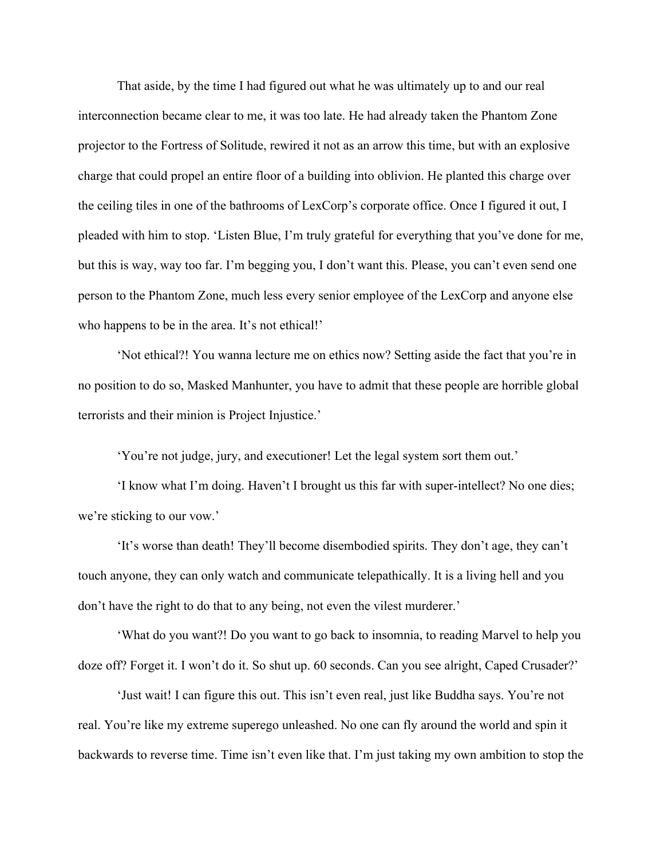That aside, by the time I had figured out what he was ultimately up to and our real interconnection became clear to me, it was too late. He had already taken the Phantom Zone projector to the Fortress of Solitude, rewired it not as an arrow this time, but with an explosive charge that could propel an entire floor of a building into oblivion. He planted this charge over the ceiling tiles in one of the bathrooms of LexCorp's corporate office. Once I figured it out, I pleaded with him to stop. 'Listen Blue, I'm truly grateful for everything that you've done for me, but this is way, way too far. I'm begging you, I don't want this. Please, you can't even send one person to the Phantom Zone, much less every senior employee of the LexCorp and anyone else who happens to be in the area. It's not ethical!'

'Not ethical?! You wanna lecture me on ethics now? Setting aside the fact that you're in no position to do so, Masked Manhunter, you have to admit that these people are horrible global terrorists and their minion is Project Injustice.'

'You're not judge, jury, and executioner! Let the legal system sort them out.'

'I know what I'm doing. Haven't I brought us this far with super-intellect? No one dies; we're sticking to our vow.'

'It's worse than death! They'll become disembodied spirits. They don't age, they can't touch anyone, they can only watch and communicate telepathically. It is a living hell and you don't have the right to do that to any being, not even the vilest murderer.'

'What do you want?! Do you want to go back to insomnia, to reading Marvel to help you doze off? Forget it. I won't do it. So shut up. 60 seconds. Can you see alright, Caped Crusader?'

'Just wait! I can figure this out. This isn't even real, just like Buddha says. You're not real. You're like my extreme superego unleashed. No one can fly around the world and spin it backwards to reverse time. Time isn't even like that. I'm just taking my own ambition to stop the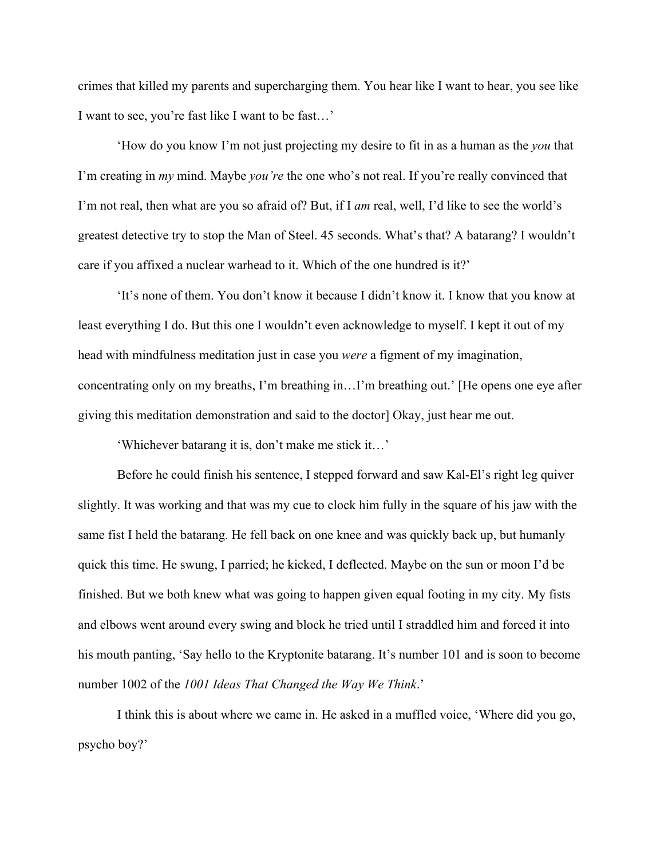crimes that killed my parents and supercharging them. You hear like I want to hear, you see like I want to see, you're fast like I want to be fast…'

'How do you know I'm not just projecting my desire to fit in as a human as the *you* that I'm creating in *my* mind. Maybe *you're* the one who's not real. If you're really convinced that I'm not real, then what are you so afraid of? But, if I *am* real, well, I'd like to see the world's greatest detective try to stop the Man of Steel. 45 seconds. What's that? A batarang? I wouldn't care if you affixed a nuclear warhead to it. Which of the one hundred is it?'

'It's none of them. You don't know it because I didn't know it. I know that you know at least everything I do. But this one I wouldn't even acknowledge to myself. I kept it out of my head with mindfulness meditation just in case you *were* a figment of my imagination, concentrating only on my breaths, I'm breathing in…I'm breathing out.' [He opens one eye after giving this meditation demonstration and said to the doctor] Okay, just hear me out.

'Whichever batarang it is, don't make me stick it…'

Before he could finish his sentence, I stepped forward and saw Kal-El's right leg quiver slightly. It was working and that was my cue to clock him fully in the square of his jaw with the same fist I held the batarang. He fell back on one knee and was quickly back up, but humanly quick this time. He swung, I parried; he kicked, I deflected. Maybe on the sun or moon I'd be finished. But we both knew what was going to happen given equal footing in my city. My fists and elbows went around every swing and block he tried until I straddled him and forced it into his mouth panting, 'Say hello to the Kryptonite batarang. It's number 101 and is soon to become number 1002 of the *1001 Ideas That Changed the Way We Think*.'

I think this is about where we came in. He asked in a muffled voice, 'Where did you go, psycho boy?'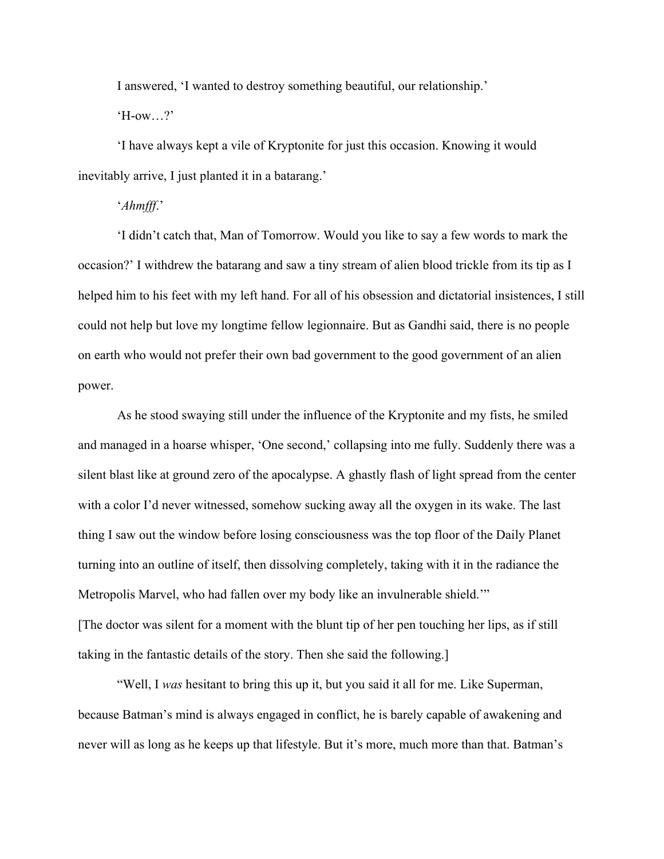I answered, 'I wanted to destroy something beautiful, our relationship.'

'H-ow…?'

'I have always kept a vile of Kryptonite for just this occasion. Knowing it would inevitably arrive, I just planted it in a batarang.'

## '*Ahmfff*.'

'I didn't catch that, Man of Tomorrow. Would you like to say a few words to mark the occasion?' I withdrew the batarang and saw a tiny stream of alien blood trickle from its tip as I helped him to his feet with my left hand. For all of his obsession and dictatorial insistences, I still could not help but love my longtime fellow legionnaire. But as Gandhi said, there is no people on earth who would not prefer their own bad government to the good government of an alien power.

As he stood swaying still under the influence of the Kryptonite and my fists, he smiled and managed in a hoarse whisper, 'One second,' collapsing into me fully. Suddenly there was a silent blast like at ground zero of the apocalypse. A ghastly flash of light spread from the center with a color I'd never witnessed, somehow sucking away all the oxygen in its wake. The last thing I saw out the window before losing consciousness was the top floor of the Daily Planet turning into an outline of itself, then dissolving completely, taking with it in the radiance the Metropolis Marvel, who had fallen over my body like an invulnerable shield.'" [The doctor was silent for a moment with the blunt tip of her pen touching her lips, as if still taking in the fantastic details of the story. Then she said the following.]

"Well, I *was* hesitant to bring this up it, but you said it all for me. Like Superman, because Batman's mind is always engaged in conflict, he is barely capable of awakening and never will as long as he keeps up that lifestyle. But it's more, much more than that. Batman's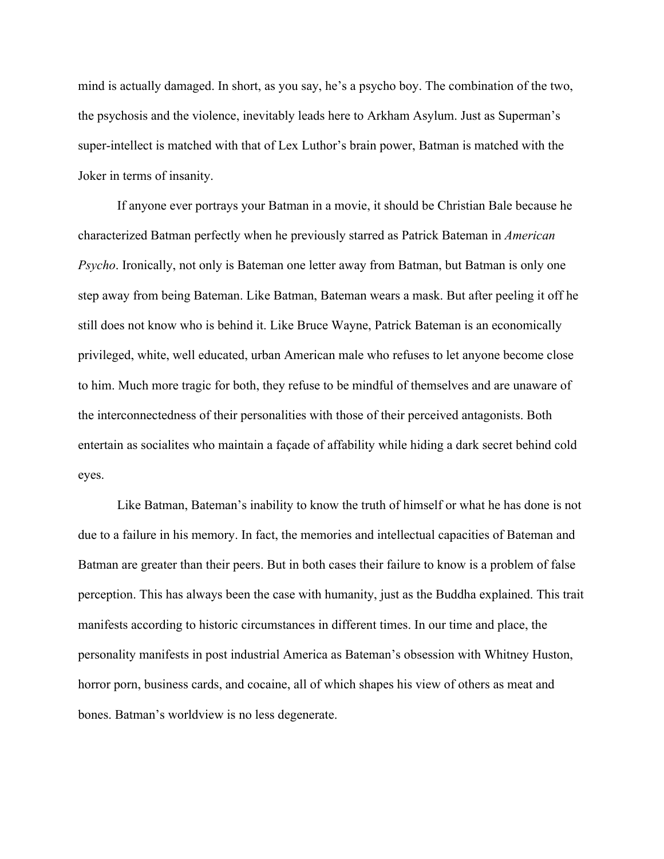mind is actually damaged. In short, as you say, he's a psycho boy. The combination of the two, the psychosis and the violence, inevitably leads here to Arkham Asylum. Just as Superman's super-intellect is matched with that of Lex Luthor's brain power, Batman is matched with the Joker in terms of insanity.

If anyone ever portrays your Batman in a movie, it should be Christian Bale because he characterized Batman perfectly when he previously starred as Patrick Bateman in *American Psycho*. Ironically, not only is Bateman one letter away from Batman, but Batman is only one step away from being Bateman. Like Batman, Bateman wears a mask. But after peeling it off he still does not know who is behind it. Like Bruce Wayne, Patrick Bateman is an economically privileged, white, well educated, urban American male who refuses to let anyone become close to him. Much more tragic for both, they refuse to be mindful of themselves and are unaware of the interconnectedness of their personalities with those of their perceived antagonists. Both entertain as socialites who maintain a façade of affability while hiding a dark secret behind cold eyes.

Like Batman, Bateman's inability to know the truth of himself or what he has done is not due to a failure in his memory. In fact, the memories and intellectual capacities of Bateman and Batman are greater than their peers. But in both cases their failure to know is a problem of false perception. This has always been the case with humanity, just as the Buddha explained. This trait manifests according to historic circumstances in different times. In our time and place, the personality manifests in post industrial America as Bateman's obsession with Whitney Huston, horror porn, business cards, and cocaine, all of which shapes his view of others as meat and bones. Batman's worldview is no less degenerate.